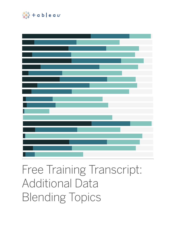

# Free Training Transcript: Additional Data Blending Topics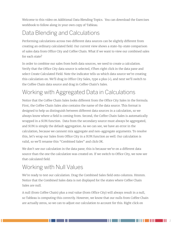Welcome to this video on Additional Data Blending Topics. You can download the Exercises workbook to follow along in your own copy of Tableau.

# Data Blending and Calculations

Performing calculations across two different data sources can be slightly different from creating an ordinary calculated field. Our current view shows a state-by-state comparison of sales data from Office City and Coffee Chain. What if we want to view our combined sales for each state?

In order to combine our sales from both data sources, we need to create a calculation. Verify that the Office City data source is selected, tThen right click in the data pane and select Create Calculated Field. Note the indicator tells us which data source we're creating this calculation on. We'll drag in Office City Sales, type a plus (+), and next we'll switch to the Coffee Chain data source and drag in Coffee Chain's Sales.

## Working with Aggregated Data in Calculations

Notice that the Coffee Chain Sales looks different from the Office City Sales in the formula. First, the Coffee Chain Sales also contains the name of the data source. This format is designed to help us distinguish between different data sources in a calculation, so we always know where a field is coming from. Second, the Coffee Chain Sales is automatically wrapped in a SUM function. Data from the secondary source must always be aggregated, and SUM is simply the default aggregation. As we can see, we have an error in the calculation, because we cannont mix aggregate and non-aggregate arguments. To resolve this, let's wrap our Sales from Office City in a SUM function as well. Our calculation is valid, so we'll rename this "Combined Sales" and click OK.

We don't see our calculation in the data pane; this is because we're on a different data source than the one the calculation was created on. If we switch to Office City, we now see that calculated field.

# Working with Null Values

We're ready to test our calculation. Drag the Combined Sales field onto columns. Hmmm. Notice that the Combined Sales data is not displayed for the states where Coffee Chain Sales are null.

A null (from Coffee Chain) plus a real value (from Office City) will always result in a null, so Tableau is computing this correctly. However, we know that our nulls from Coffee Chain are actually zeros, so we can to adjust our calculation to account for this. Right click on

. . . . .